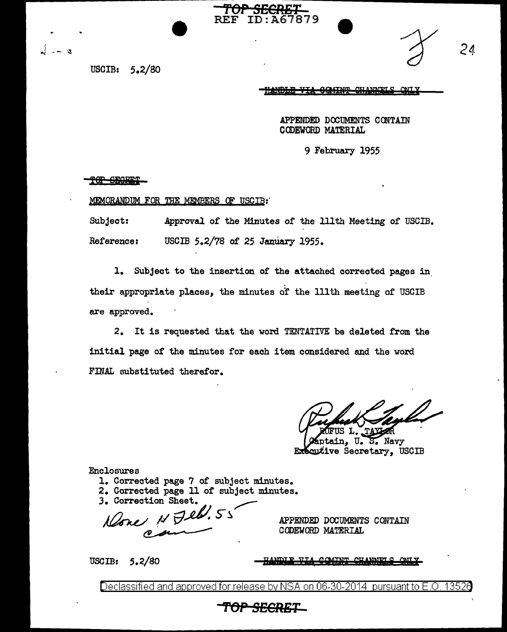USCIB: 5.2/80

 $\alpha$ 

HANDLE VIA GOMINT CHANNETS

APPENDED DOOUMENTS CONTAIN CODEWORD MATERIAL

9 February 1955

#### TOP SEGRET

#### MEMORANDUM FOR THE MEMBERS OF USCIB:

Subject: Approval of the Minutes of the lllth Meeting of USCIB. Reference: USCIB 5.2/78 of 25 January 1955.

**'rOP SECRET** 

67879

l. Subject to the insertion of the attached corrected pages in. their appropriate places, the minutes o? the lllth meeting or USCIB are approved.

2. It is requested that the word TENTATIVE be deleted from the initial page or the minutes for each item considered and the word FINAL substituted therefor.

tain, U.S. Navy Executive Secretary, USCIB

Enclosures

- l. Corrected page 7 of subject minutes.
- 2. Corrected page 11 of subject minutes.

3. Correction Sheet.

Corrected page 11 of subject minu-<br>Correction Sheet.  $N$  Jebb.  $55$ 

APPENDED DOOUMENTS CONTAIN CODEWORD MATERIAL

USCIB: 5.2/80

**COMINT CU ANNIFT** 

Declassified and approved for release by NSA on 06-30-2014 pursuant to E.O. 13526

# **T'OP SECRET**

*24*